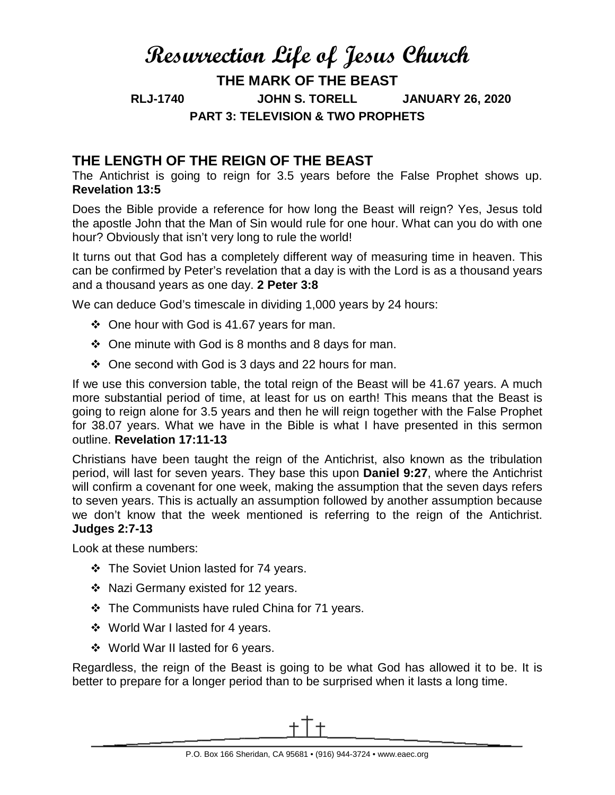# **Resurrection Life of Jesus Church THE MARK OF THE BEAST RLJ-1740 JOHN S. TORELL JANUARY 26, 2020 PART 3: TELEVISION & TWO PROPHETS**

## **THE LENGTH OF THE REIGN OF THE BEAST**

The Antichrist is going to reign for 3.5 years before the False Prophet shows up. **Revelation 13:5**

Does the Bible provide a reference for how long the Beast will reign? Yes, Jesus told the apostle John that the Man of Sin would rule for one hour. What can you do with one hour? Obviously that isn't very long to rule the world!

It turns out that God has a completely different way of measuring time in heaven. This can be confirmed by Peter's revelation that a day is with the Lord is as a thousand years and a thousand years as one day. **2 Peter 3:8**

We can deduce God's timescale in dividing 1,000 years by 24 hours:

- One hour with God is 41.67 years for man.
- $\div$  One minute with God is 8 months and 8 days for man.
- $\div$  One second with God is 3 days and 22 hours for man.

If we use this conversion table, the total reign of the Beast will be 41.67 years. A much more substantial period of time, at least for us on earth! This means that the Beast is going to reign alone for 3.5 years and then he will reign together with the False Prophet for 38.07 years. What we have in the Bible is what I have presented in this sermon outline. **Revelation 17:11-13**

Christians have been taught the reign of the Antichrist, also known as the tribulation period, will last for seven years. They base this upon **Daniel 9:27**, where the Antichrist will confirm a covenant for one week, making the assumption that the seven days refers to seven years. This is actually an assumption followed by another assumption because we don't know that the week mentioned is referring to the reign of the Antichrist. **Judges 2:7-13**

Look at these numbers:

- ❖ The Soviet Union lasted for 74 years.
- ❖ Nazi Germany existed for 12 years.
- The Communists have ruled China for 71 years.
- ❖ World War I lasted for 4 years.
- World War II lasted for 6 years.

Regardless, the reign of the Beast is going to be what God has allowed it to be. It is better to prepare for a longer period than to be surprised when it lasts a long time.

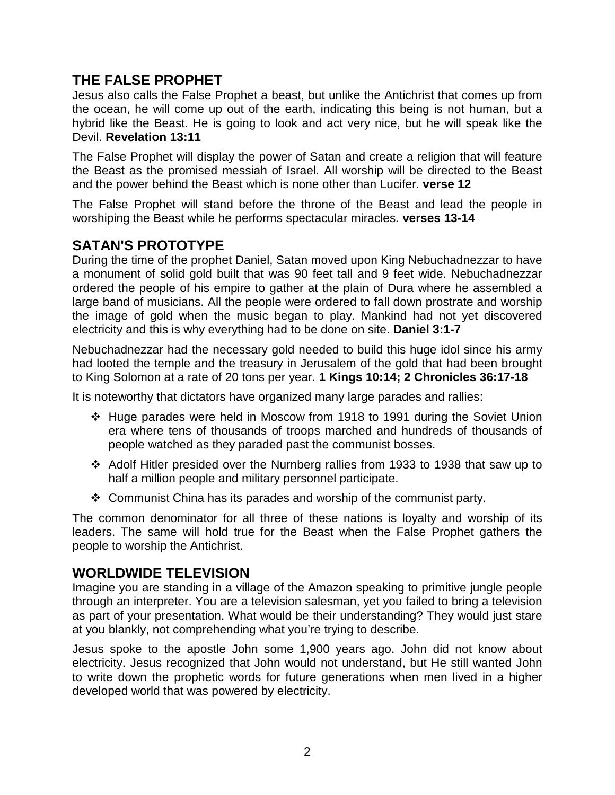## **THE FALSE PROPHET**

Jesus also calls the False Prophet a beast, but unlike the Antichrist that comes up from the ocean, he will come up out of the earth, indicating this being is not human, but a hybrid like the Beast. He is going to look and act very nice, but he will speak like the Devil. **Revelation 13:11**

The False Prophet will display the power of Satan and create a religion that will feature the Beast as the promised messiah of Israel. All worship will be directed to the Beast and the power behind the Beast which is none other than Lucifer. **verse 12**

The False Prophet will stand before the throne of the Beast and lead the people in worshiping the Beast while he performs spectacular miracles. **verses 13-14**

## **SATAN'S PROTOTYPE**

During the time of the prophet Daniel, Satan moved upon King Nebuchadnezzar to have a monument of solid gold built that was 90 feet tall and 9 feet wide. Nebuchadnezzar ordered the people of his empire to gather at the plain of Dura where he assembled a large band of musicians. All the people were ordered to fall down prostrate and worship the image of gold when the music began to play. Mankind had not yet discovered electricity and this is why everything had to be done on site. **Daniel 3:1-7**

Nebuchadnezzar had the necessary gold needed to build this huge idol since his army had looted the temple and the treasury in Jerusalem of the gold that had been brought to King Solomon at a rate of 20 tons per year. **1 Kings 10:14; 2 Chronicles 36:17-18**

It is noteworthy that dictators have organized many large parades and rallies:

- Huge parades were held in Moscow from 1918 to 1991 during the Soviet Union era where tens of thousands of troops marched and hundreds of thousands of people watched as they paraded past the communist bosses.
- Adolf Hitler presided over the Nurnberg rallies from 1933 to 1938 that saw up to half a million people and military personnel participate.
- $\div$  Communist China has its parades and worship of the communist party.

The common denominator for all three of these nations is loyalty and worship of its leaders. The same will hold true for the Beast when the False Prophet gathers the people to worship the Antichrist.

#### **WORLDWIDE TELEVISION**

Imagine you are standing in a village of the Amazon speaking to primitive jungle people through an interpreter. You are a television salesman, yet you failed to bring a television as part of your presentation. What would be their understanding? They would just stare at you blankly, not comprehending what you're trying to describe.

Jesus spoke to the apostle John some 1,900 years ago. John did not know about electricity. Jesus recognized that John would not understand, but He still wanted John to write down the prophetic words for future generations when men lived in a higher developed world that was powered by electricity.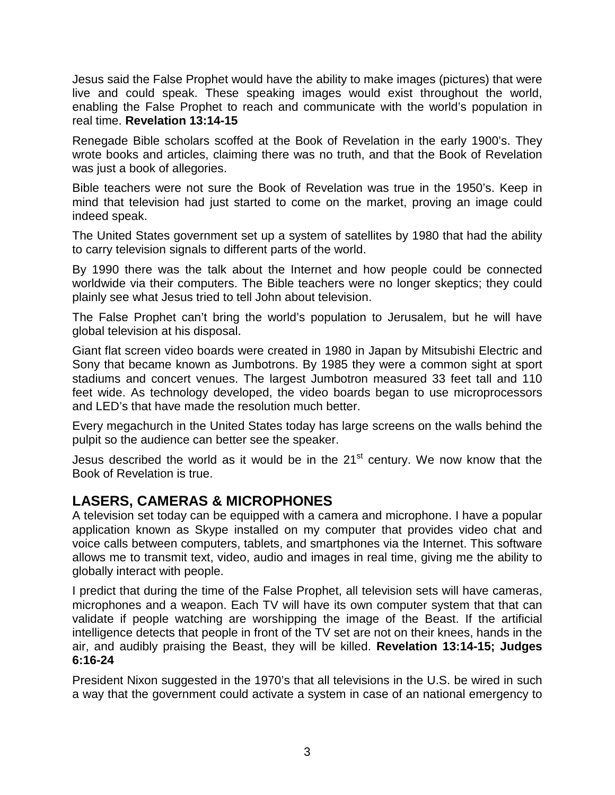Jesus said the False Prophet would have the ability to make images (pictures) that were live and could speak. These speaking images would exist throughout the world, enabling the False Prophet to reach and communicate with the world's population in real time. **Revelation 13:14-15**

Renegade Bible scholars scoffed at the Book of Revelation in the early 1900's. They wrote books and articles, claiming there was no truth, and that the Book of Revelation was just a book of allegories.

Bible teachers were not sure the Book of Revelation was true in the 1950's. Keep in mind that television had just started to come on the market, proving an image could indeed speak.

The United States government set up a system of satellites by 1980 that had the ability to carry television signals to different parts of the world.

By 1990 there was the talk about the Internet and how people could be connected worldwide via their computers. The Bible teachers were no longer skeptics; they could plainly see what Jesus tried to tell John about television.

The False Prophet can't bring the world's population to Jerusalem, but he will have global television at his disposal.

Giant flat screen video boards were created in 1980 in Japan by Mitsubishi Electric and Sony that became known as Jumbotrons. By 1985 they were a common sight at sport stadiums and concert venues. The largest Jumbotron measured 33 feet tall and 110 feet wide. As technology developed, the video boards began to use microprocessors and LED's that have made the resolution much better.

Every megachurch in the United States today has large screens on the walls behind the pulpit so the audience can better see the speaker.

Jesus described the world as it would be in the  $21<sup>st</sup>$  century. We now know that the Book of Revelation is true.

## **LASERS, CAMERAS & MICROPHONES**

A television set today can be equipped with a camera and microphone. I have a popular application known as Skype installed on my computer that provides video chat and voice calls between computers, tablets, and smartphones via the Internet. This software allows me to transmit text, video, audio and images in real time, giving me the ability to globally interact with people.

I predict that during the time of the False Prophet, all television sets will have cameras, microphones and a weapon. Each TV will have its own computer system that that can validate if people watching are worshipping the image of the Beast. If the artificial intelligence detects that people in front of the TV set are not on their knees, hands in the air, and audibly praising the Beast, they will be killed. **Revelation 13:14-15; Judges 6:16-24**

President Nixon suggested in the 1970's that all televisions in the U.S. be wired in such a way that the government could activate a system in case of an national emergency to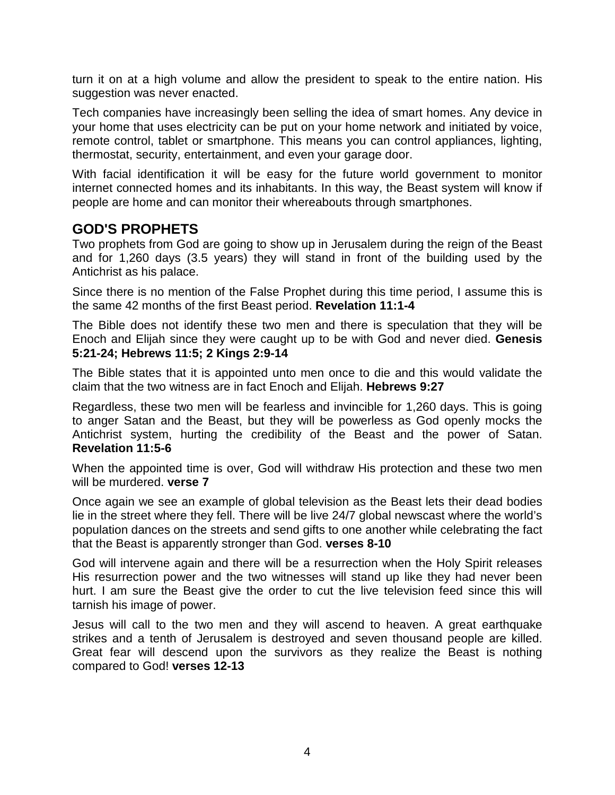turn it on at a high volume and allow the president to speak to the entire nation. His suggestion was never enacted.

Tech companies have increasingly been selling the idea of smart homes. Any device in your home that uses electricity can be put on your home network and initiated by voice, remote control, tablet or smartphone. This means you can control appliances, lighting, thermostat, security, entertainment, and even your garage door.

With facial identification it will be easy for the future world government to monitor internet connected homes and its inhabitants. In this way, the Beast system will know if people are home and can monitor their whereabouts through smartphones.

### **GOD'S PROPHETS**

Two prophets from God are going to show up in Jerusalem during the reign of the Beast and for 1,260 days (3.5 years) they will stand in front of the building used by the Antichrist as his palace.

Since there is no mention of the False Prophet during this time period, I assume this is the same 42 months of the first Beast period. **Revelation 11:1-4**

The Bible does not identify these two men and there is speculation that they will be Enoch and Elijah since they were caught up to be with God and never died. **Genesis 5:21-24; Hebrews 11:5; 2 Kings 2:9-14**

The Bible states that it is appointed unto men once to die and this would validate the claim that the two witness are in fact Enoch and Elijah. **Hebrews 9:27**

Regardless, these two men will be fearless and invincible for 1,260 days. This is going to anger Satan and the Beast, but they will be powerless as God openly mocks the Antichrist system, hurting the credibility of the Beast and the power of Satan. **Revelation 11:5-6**

When the appointed time is over, God will withdraw His protection and these two men will be murdered. **verse 7**

Once again we see an example of global television as the Beast lets their dead bodies lie in the street where they fell. There will be live 24/7 global newscast where the world's population dances on the streets and send gifts to one another while celebrating the fact that the Beast is apparently stronger than God. **verses 8-10**

God will intervene again and there will be a resurrection when the Holy Spirit releases His resurrection power and the two witnesses will stand up like they had never been hurt. I am sure the Beast give the order to cut the live television feed since this will tarnish his image of power.

Jesus will call to the two men and they will ascend to heaven. A great earthquake strikes and a tenth of Jerusalem is destroyed and seven thousand people are killed. Great fear will descend upon the survivors as they realize the Beast is nothing compared to God! **verses 12-13**